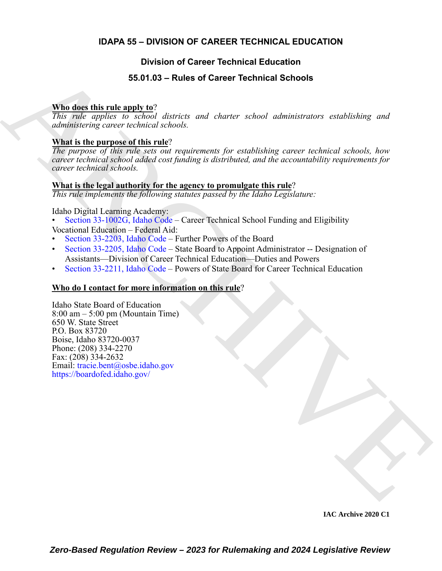# **IDAPA 55 – DIVISION OF CAREER TECHNICAL EDUCATION**

# **Division of Career Technical Education**

# **55.01.03 – Rules of Career Technical Schools**

## **Who does this rule apply to**?

*This rule applies to school districts and charter school administrators establishing and administering career technical schools.*

# **What is the purpose of this rule**?

*The purpose of this rule sets out requirements for establishing career technical schools, how career technical school added cost funding is distributed, and the accountability requirements for career technical schools.*

### **What is the legal authority for the agency to promulgate this rule**?

*This rule implements the following statutes passed by the Idaho Legislature:*

Idaho Digital Learning Academy:

- Section 33-1002G, Idaho Code Career Technical School Funding and Eligibility Vocational Education – Federal Aid:
- Section 33-2203, Idaho Code Further Powers of the Board
- Section 33-2205, Idaho Code State Board to Appoint Administrator -- Designation of Assistants—Division of Career Technical Education—Duties and Powers
- Section 33-2211, Idaho Code Powers of State Board for Career Technical Education

## **Who do I contact for more information on this rule**?

**55.01.03 – Rules of Career Technical Schools**<br>
This, reals a maximum and the maximum and characterization and characterization entailed<br>high significant process and this contained defined a substitution of the<br> **What is** Idaho State Board of Education 8:00 am – 5:00 pm (Mountain Time) 650 W. State Street P.O. Box 83720 Boise, Idaho 83720-0037 Phone: (208) 334-2270 Fax: (208) 334-2632 Email: tracie.bent@osbe.idaho.gov https://boardofed.idaho.gov/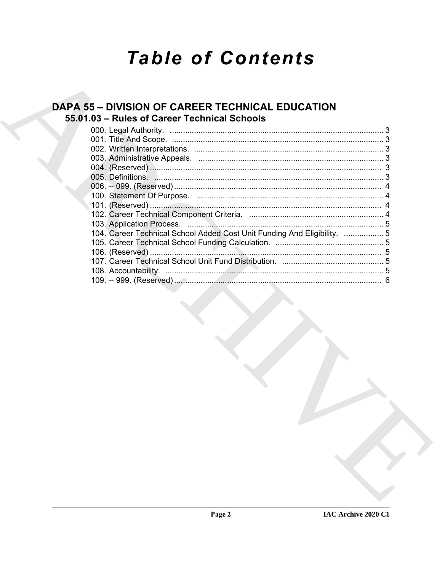# **Table of Contents**

# **DAPA 55 - DIVISION OF CAREER TECHNICAL EDUCATION** 55.01.03 - Rules of Career Technical Schools

| 104. Career Technical School Added Cost Unit Funding And Eligibility.  5 |  |
|--------------------------------------------------------------------------|--|
|                                                                          |  |
|                                                                          |  |
|                                                                          |  |
|                                                                          |  |
|                                                                          |  |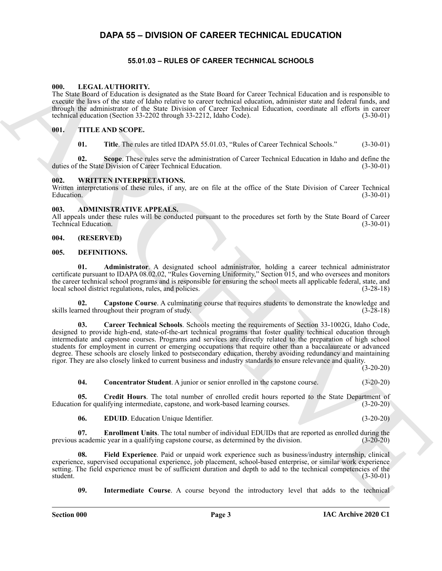# <span id="page-2-0"></span>**DAPA 55 – DIVISION OF CAREER TECHNICAL EDUCATION**

### **55.01.03 – RULES OF CAREER TECHNICAL SCHOOLS**

#### <span id="page-2-19"></span><span id="page-2-2"></span><span id="page-2-1"></span>**000. LEGAL AUTHORITY.**

The State Board of Education is designated as the State Board for Career Technical Education and is responsible to execute the laws of the state of Idaho relative to career technical education, administer state and federal funds, and through the administrator of the State Division of Career Technical Education, coordinate all efforts in career technical education (Section 33-2202 through 33-2212, Idaho Code). (3-30-01)

#### <span id="page-2-3"></span>**001. TITLE AND SCOPE.**

<span id="page-2-20"></span>**01.** Title. The rules are titled IDAPA 55.01.03, "Rules of Career Technical Schools." (3-30-01)

**02. Scope**. These rules serve the administration of Career Technical Education in Idaho and define the duties of the State Division of Career Technical Education. (3-30-01)

#### <span id="page-2-21"></span><span id="page-2-4"></span>**002. WRITTEN INTERPRETATIONS.**

Written interpretations of these rules, if any, are on file at the office of the State Division of Career Technical Education. (3-30-01) Education. (3-30-01)

#### <span id="page-2-8"></span><span id="page-2-5"></span>**003. ADMINISTRATIVE APPEALS.**

All appeals under these rules will be conducted pursuant to the procedures set forth by the State Board of Career Technical Education. (3-30-01)

#### <span id="page-2-6"></span>**004. (RESERVED)**

#### <span id="page-2-9"></span><span id="page-2-7"></span>**005. DEFINITIONS.**

<span id="page-2-10"></span>**01. Administrator**. A designated school administrator, holding a career technical administrator certificate pursuant to IDAPA 08.02.02, "Rules Governing Uniformity," Section 015, and who oversees and monitors the career technical school programs and is responsible for ensuring the school meets all applicable federal, state, and local school district regulations, rules, and policies. (3-28-18)

<span id="page-2-12"></span><span id="page-2-11"></span>**02. Capstone Course**. A culminating course that requires students to demonstrate the knowledge and skills learned throughout their program of study. (3-28-18)

69. LEGAL AUTHORITY, and comparison in the State Double Caree Trademain Becomes the temperature of the state of the state of the state of the state of the state of the state of the state of the state of the state of the s **03. Career Technical Schools**. Schools meeting the requirements of Section 33-1002G, Idaho Code, designed to provide high-end, state-of-the-art technical programs that foster quality technical education through intermediate and capstone courses. Programs and services are directly related to the preparation of high school students for employment in current or emerging occupations that require other than a baccalaureate or advanced degree. These schools are closely linked to postsecondary education, thereby avoiding redundancy and maintaining rigor. They are also closely linked to current business and industry standards to ensure relevance and quality.

 $(3-20-20)$ 

<span id="page-2-14"></span>**04. Concentrator Student**. A junior or senior enrolled in the capstone course. (3-20-20)

<span id="page-2-13"></span>**05. Credit Hours**. The total number of enrolled credit hours reported to the State Department of Education for qualifying intermediate, capstone, and work-based learning courses. (3-20-20)

<span id="page-2-17"></span><span id="page-2-16"></span><span id="page-2-15"></span>**06. EDUID**. Education Unique Identifier. (3-20-20)

**07. Enrollment Units**. The total number of individual EDUIDs that are reported as enrolled during the academic year in a qualifying capstone course, as determined by the division. (3-20-20) previous academic year in a qualifying capstone course, as determined by the division.

**08. Field Experience**. Paid or unpaid work experience such as business/industry internship, clinical experience, supervised occupational experience, job placement, school-based enterprise, or similar work experience setting. The field experience must be of sufficient duration and depth to add to the technical competencies of the student. (3-30-01) student. (3-30-01)

<span id="page-2-18"></span>**09. Intermediate Course**. A course beyond the introductory level that adds to the technical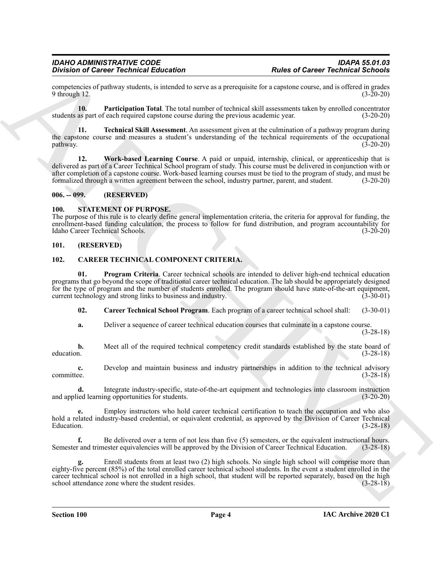competencies of pathway students, is intended to serve as a prerequisite for a capstone course, and is offered in grades  $9$  through 12.

<span id="page-3-7"></span>**10. Participation Total**. The total number of technical skill assessments taken by enrolled concentrator students as part of each required capstone course during the previous academic year. (3-20-20)

<span id="page-3-8"></span>**11. Technical Skill Assessment**. An assessment given at the culmination of a pathway program during the capstone course and measures a student's understanding of the technical requirements of the occupational  $p$ athway.  $(3-20-20)$ 

<span id="page-3-9"></span>**12. Work-based Learning Course**. A paid or unpaid, internship, clinical, or apprenticeship that is delivered as part of a Career Technical School program of study. This course must be delivered in conjunction with or after completion of a capstone course. Work-based learning courses must be tied to the program of study, and must be formalized through a written agreement between the school, industry partner, parent, and student. (3-20-20)

#### <span id="page-3-0"></span>**006. -- 099. (RESERVED)**

#### <span id="page-3-10"></span><span id="page-3-1"></span>**100. STATEMENT OF PURPOSE.**

The purpose of this rule is to clearly define general implementation criteria, the criteria for approval for funding, the enrollment-based funding calculation, the process to follow for fund distribution, and program accountability for Idaho Career Technical Schools. (3-20-20)

#### <span id="page-3-2"></span>**101. (RESERVED)**

#### <span id="page-3-4"></span><span id="page-3-3"></span>**102. CAREER TECHNICAL COMPONENT CRITERIA.**

Division of Cariner Technical Education<br>  $\theta$  convertises of Cariner Technical Education ( $\theta$  and  $\theta$  and  $\theta$  and  $\theta$  and  $\theta$  and  $\theta$  and  $\theta$  and  $\theta$  and  $\theta$  and  $\theta$  and  $\theta$  and  $\theta$  and  $\theta$  and  $\theta$  and  $\theta$  **01. Program Criteria**. Career technical schools are intended to deliver high-end technical education programs that go beyond the scope of traditional career technical education. The lab should be appropriately designed for the type of program and the number of students enrolled. The program should have state-of-the-art equipment, current technology and strong links to business and industry. (3-30-01)

<span id="page-3-6"></span><span id="page-3-5"></span>**02. Career Technical School Program**. Each program of a career technical school shall: (3-30-01)

**a.** Deliver a sequence of career technical education courses that culminate in a capstone course. (3-28-18)

**b.** Meet all of the required technical competency credit standards established by the state board of education. (3-28-18)

**c.** Develop and maintain business and industry partnerships in addition to the technical advisory committee.  $(3-28-18)$ committee. (3-28-18)

**d.** Integrate industry-specific, state-of-the-art equipment and technologies into classroom instruction independent integration (3-20-20) and applied learning opportunities for students.

**e.** Employ instructors who hold career technical certification to teach the occupation and who also hold a related industry-based credential, or equivalent credential, as approved by the Division of Career Technical  $\mu$  Education. (3-28-18)

**f.** Be delivered over a term of not less than five (5) semesters, or the equivalent instructional hours. Semester and trimester equivalencies will be approved by the Division of Career Technical Education. (3-28-18)

**g.** Enroll students from at least two (2) high schools. No single high school will comprise more than eighty-five percent (85%) of the total enrolled career technical school students. In the event a student enrolled in the career technical school is not enrolled in a high school, that student will be reported separately, based on the high school attendance zone where the student resides. (3-28-18) school attendance zone where the student resides.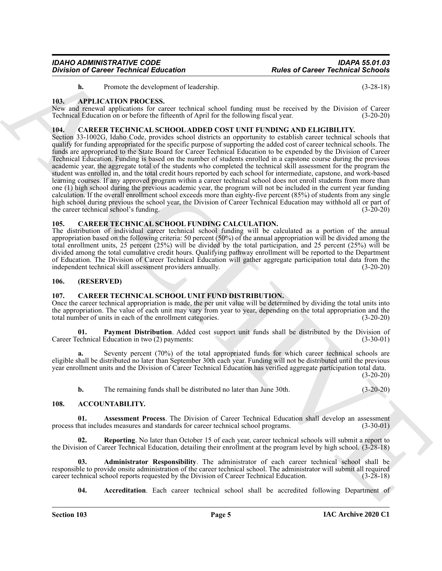<span id="page-4-11"></span>**h.** Promote the development of leadership. (3-28-18)

#### <span id="page-4-0"></span>**103. APPLICATION PROCESS.**

New and renewal applications for career technical school funding must be received by the Division of Career Technical Education on or before the fifteenth of April for the following fiscal year. (3-20-20)

#### <span id="page-4-12"></span><span id="page-4-1"></span>**104. CAREER TECHNICAL SCHOOL ADDED COST UNIT FUNDING AND ELIGIBILITY.**

**Division of Carter Yechnical Education**<br> **Aluse of Carter Yechnical Education**<br> **ARCHIVE CATTON PROCESSION** is the distribution of the state of the state of the state of the state of the state of the state of the state o Section 33-1002G, Idaho Code, provides school districts an opportunity to establish career technical schools that qualify for funding appropriated for the specific purpose of supporting the added cost of career technical schools. The funds are appropriated to the State Board for Career Technical Education to be expended by the Division of Career Technical Education. Funding is based on the number of students enrolled in a capstone course during the previous academic year, the aggregate total of the students who completed the technical skill assessment for the program the student was enrolled in, and the total credit hours reported by each school for intermediate, capstone, and work-based learning courses. If any approved program within a career technical school does not enroll students from more than one (1) high school during the previous academic year, the program will not be included in the current year funding calculation. If the overall enrollment school exceeds more than eighty-five percent (85%) of students from any single high school during previous the school year, the Division of Career Technical Education may withhold all or part of the career technical school's funding. (3-20-20)

#### <span id="page-4-13"></span><span id="page-4-2"></span>**105. CAREER TECHNICAL SCHOOL FUNDING CALCULATION.**

The distribution of individual career technical school funding will be calculated as a portion of the annual appropriation based on the following criteria: 50 percent (50%) of the annual appropriation will be divided among the total enrollment units, 25 percent (25%) will be divided by the total participation, and 25 percent (25%) will be divided among the total cumulative credit hours. Qualifying pathway enrollment will be reported to the Department of Education. The Division of Career Technical Education will gather aggregate participation total data from the independent technical skill assessment providers annually. (3-20-20)

#### <span id="page-4-3"></span>**106. (RESERVED)**

#### <span id="page-4-14"></span><span id="page-4-4"></span>**107. CAREER TECHNICAL SCHOOL UNIT FUND DISTRIBUTION.**

Once the career technical appropriation is made, the per unit value will be determined by dividing the total units into the appropriation. The value of each unit may vary from year to year, depending on the total appropriation and the total number of units in each of the enrollment categories. (3-20-20)

<span id="page-4-15"></span>**01. Payment Distribution**. Added cost support unit funds shall be distributed by the Division of Career Technical Education in two (2) payments: (3-30-01)

**a.** Seventy percent (70%) of the total appropriated funds for which career technical schools are eligible shall be distributed no later than September 30th each year. Funding will not be distributed until the previous year enrollment units and the Division of Career Technical Education has verified aggregate participation total data.  $(3-20-20)$ 

<span id="page-4-10"></span><span id="page-4-9"></span><span id="page-4-6"></span>**b.** The remaining funds shall be distributed no later than June 30th. (3-20-20)

#### <span id="page-4-5"></span>**108. ACCOUNTABILITY.**

**01. Assessment Process**. The Division of Career Technical Education shall develop an assessment process that includes measures and standards for career technical school programs. (3-30-01)

**02. Reporting**. No later than October 15 of each year, career technical schools will submit a report to the Division of Career Technical Education, detailing their enrollment at the program level by high school. (3-28-18)

**03. Administrator Responsibility**. The administrator of each career technical school shall be responsible to provide onsite administration of the career technical school. The administrator will submit all required career technical school reports requested by the Division of Career Technical Education. (3-28-18) career technical school reports requested by the Division of Career Technical Education.

<span id="page-4-8"></span><span id="page-4-7"></span>**04.** Accreditation. Each career technical school shall be accredited following Department of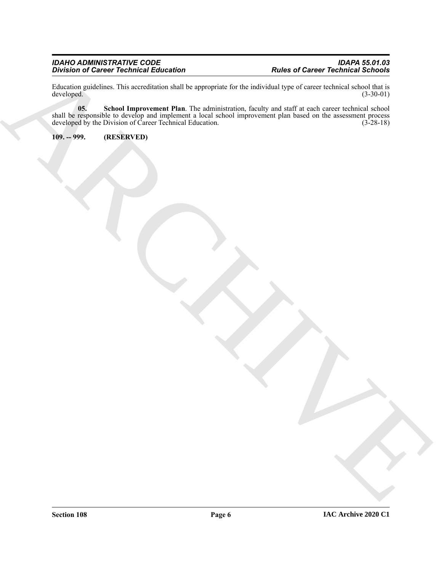#### *IDAHO ADMINISTRATIVE CODE IDAPA 55.01.03 Division of Career Technical Education Rules of Career Technical Schools*

<span id="page-5-1"></span>Education guidelines. This accreditation shall be appropriate for the individual type of career technical school that is developed. (3-30-01) developed.

Buriance Convert Technical Education<br>
Archives of Career Technical Education<br>
Archives of Care and Summer and Real Buryouver for the first of the state of the state of the Summer and Part<br>
and Summer and Summer and Burst L **05. School Improvement Plan**. The administration, faculty and staff at each career technical school shall be responsible to develop and implement a local school improvement plan based on the assessment process developed by the Division of Career Technical Education. (3-28-18)

<span id="page-5-0"></span>**109. -- 999. (RESERVED)**